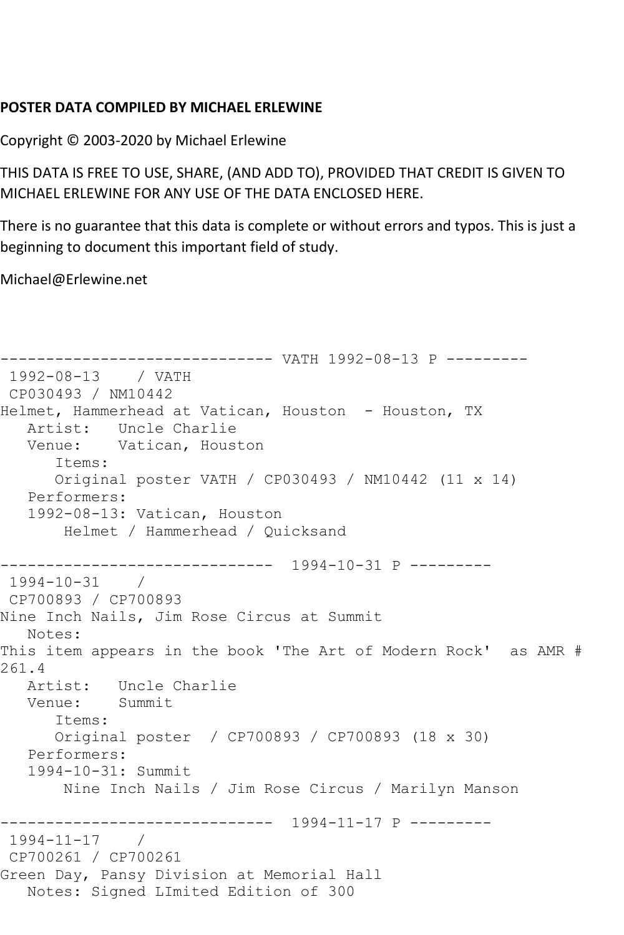## **POSTER DATA COMPILED BY MICHAEL ERLEWINE**

Copyright © 2003-2020 by Michael Erlewine

THIS DATA IS FREE TO USE, SHARE, (AND ADD TO), PROVIDED THAT CREDIT IS GIVEN TO MICHAEL ERLEWINE FOR ANY USE OF THE DATA ENCLOSED HERE.

There is no guarantee that this data is complete or without errors and typos. This is just a beginning to document this important field of study.

Michael@Erlewine.net

```
------------------------------ VATH 1992-08-13 P ---------
1992-08-13 / VATH 
CP030493 / NM10442
Helmet, Hammerhead at Vatican, Houston - Houston, TX
   Artist: Uncle Charlie
   Venue: Vatican, Houston
      Items:
      Original poster VATH / CP030493 / NM10442 (11 x 14)
   Performers:
   1992-08-13: Vatican, Houston
       Helmet / Hammerhead / Quicksand
      ------------------------------ 1994-10-31 P ---------
1994-10-31 / 
CP700893 / CP700893
Nine Inch Nails, Jim Rose Circus at Summit
   Notes: 
This item appears in the book 'The Art of Modern Rock' as AMR # 
261.4
   Artist: Uncle Charlie
   Venue: Summit
      Items:
      Original poster / CP700893 / CP700893 (18 x 30)
   Performers:
   1994-10-31: Summit
       Nine Inch Nails / Jim Rose Circus / Marilyn Manson
------------------------------ 1994-11-17 P ---------
1994-11-17 / 
CP700261 / CP700261
Green Day, Pansy Division at Memorial Hall
   Notes: Signed LImited Edition of 300
```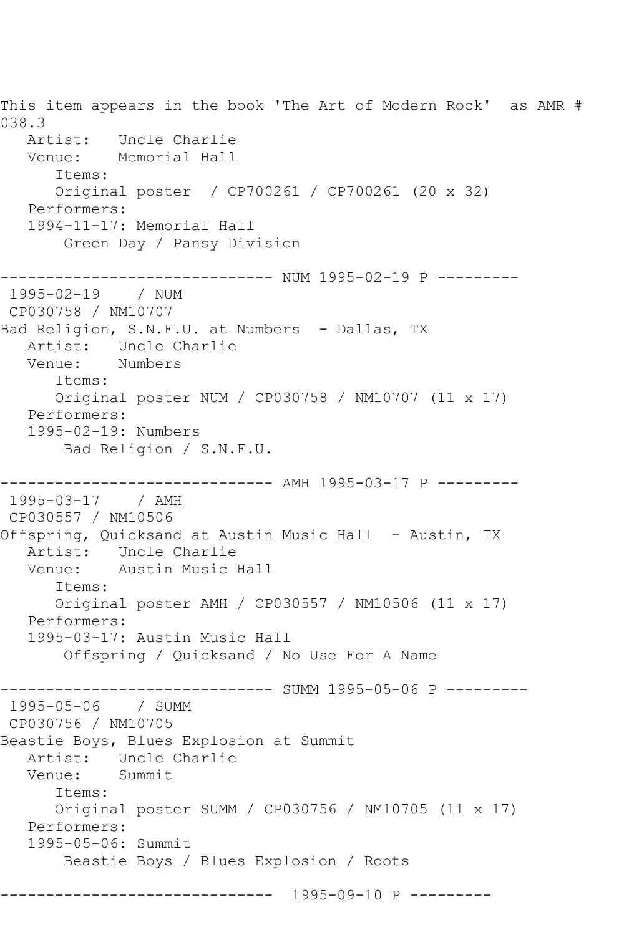This item appears in the book 'The Art of Modern Rock' as AMR # 038.3 Artist: Uncle Charlie Venue: Memorial Hall Items: Original poster / CP700261 / CP700261 (20 x 32) Performers: 1994-11-17: Memorial Hall Green Day / Pansy Division ------------------------------ NUM 1995-02-19 P --------- 1995-02-19 / NUM CP030758 / NM10707 Bad Religion, S.N.F.U. at Numbers - Dallas, TX Artist: Uncle Charlie<br>Venue: Numbers Numbers Items: Original poster NUM / CP030758 / NM10707 (11 x 17) Performers: 1995-02-19: Numbers Bad Religion / S.N.F.U. ------------------------------ AMH 1995-03-17 P --------- 1995-03-17 / AMH CP030557 / NM10506 Offspring, Quicksand at Austin Music Hall - Austin, TX Artist: Uncle Charlie Venue: Austin Music Hall Items: Original poster AMH / CP030557 / NM10506 (11 x 17) Performers: 1995-03-17: Austin Music Hall Offspring / Quicksand / No Use For A Name ---------- SUMM 1995-05-06 P ---------1995-05-06 / SUMM CP030756 / NM10705 Beastie Boys, Blues Explosion at Summit Artist: Uncle Charlie<br>Venue: Summit Summit Items: Original poster SUMM / CP030756 / NM10705 (11 x 17) Performers: 1995-05-06: Summit Beastie Boys / Blues Explosion / Roots ------------------------------ 1995-09-10 P ---------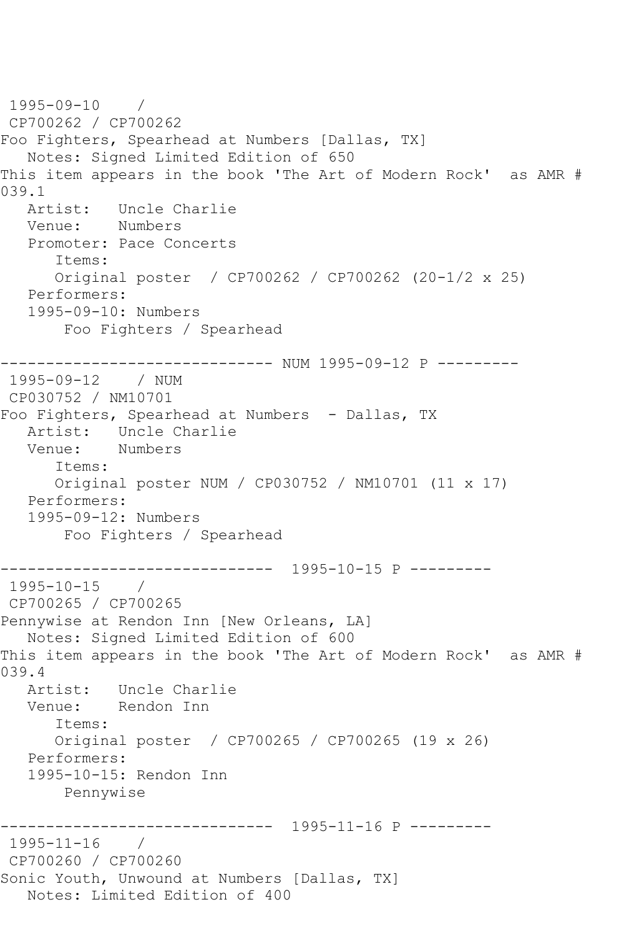1995-09-10 / CP700262 / CP700262 Foo Fighters, Spearhead at Numbers [Dallas, TX] Notes: Signed Limited Edition of 650 This item appears in the book 'The Art of Modern Rock' as AMR # 039.1<br>Artist: Uncle Charlie Venue: Numbers Promoter: Pace Concerts Items: Original poster / CP700262 / CP700262 (20-1/2 x 25) Performers: 1995-09-10: Numbers Foo Fighters / Spearhead ------------------------------ NUM 1995-09-12 P --------- 1995-09-12 / NUM CP030752 / NM10701 Foo Fighters, Spearhead at Numbers - Dallas, TX Artist: Uncle Charlie Venue: Numbers Items: Original poster NUM / CP030752 / NM10701 (11 x 17) Performers: 1995-09-12: Numbers Foo Fighters / Spearhead ------------------------------ 1995-10-15 P --------- 1995-10-15 / CP700265 / CP700265 Pennywise at Rendon Inn [New Orleans, LA] Notes: Signed Limited Edition of 600 This item appears in the book 'The Art of Modern Rock' as AMR # 039.4 Artist: Uncle Charlie<br>Venue: Rendon Inn Rendon Inn Items: Original poster / CP700265 / CP700265 (19 x 26) Performers: 1995-10-15: Rendon Inn Pennywise ------------------------------ 1995-11-16 P --------- 1995-11-16 / CP700260 / CP700260 Sonic Youth, Unwound at Numbers [Dallas, TX] Notes: Limited Edition of 400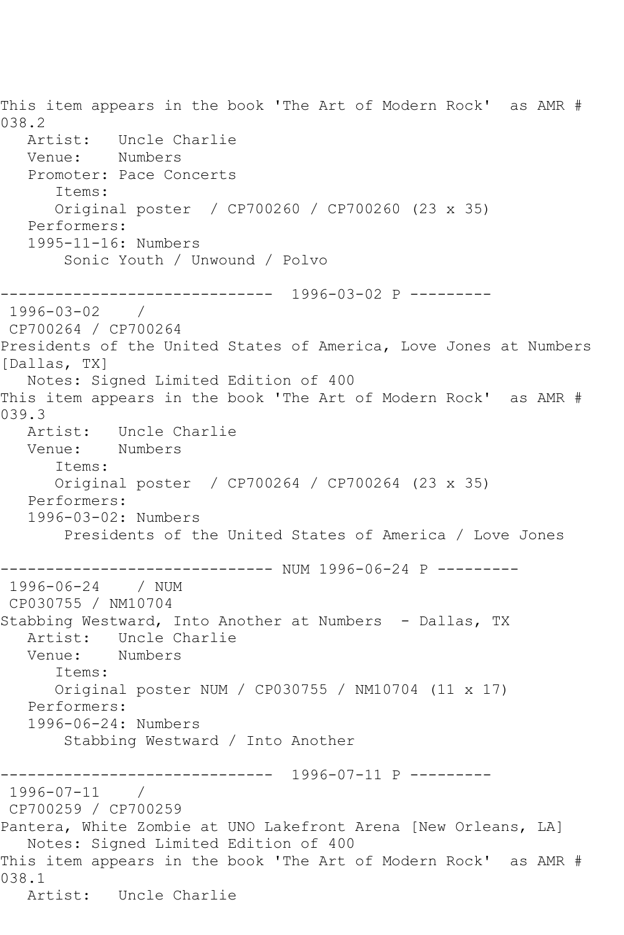This item appears in the book 'The Art of Modern Rock' as AMR # 038.2 Artist: Uncle Charlie Venue: Numbers Promoter: Pace Concerts Items: Original poster / CP700260 / CP700260 (23 x 35) Performers: 1995-11-16: Numbers Sonic Youth / Unwound / Polvo ------------------------------ 1996-03-02 P ---------  $1996 - 03 - 02$ CP700264 / CP700264 Presidents of the United States of America, Love Jones at Numbers [Dallas, TX] Notes: Signed Limited Edition of 400 This item appears in the book 'The Art of Modern Rock' as AMR # 039.3 Artist: Uncle Charlie Venue: Numbers Items: Original poster / CP700264 / CP700264 (23 x 35) Performers: 1996-03-02: Numbers Presidents of the United States of America / Love Jones ------------------------------ NUM 1996-06-24 P --------- 1996-06-24 CP030755 / NM10704 Stabbing Westward, Into Another at Numbers - Dallas, TX Artist: Uncle Charlie<br>Venue: Numbers Numbers Items: Original poster NUM / CP030755 / NM10704 (11 x 17) Performers: 1996-06-24: Numbers Stabbing Westward / Into Another ------------------------------ 1996-07-11 P --------- 1996-07-11 / CP700259 / CP700259 Pantera, White Zombie at UNO Lakefront Arena [New Orleans, LA] Notes: Signed Limited Edition of 400 This item appears in the book 'The Art of Modern Rock' as AMR # 038.1 Artist: Uncle Charlie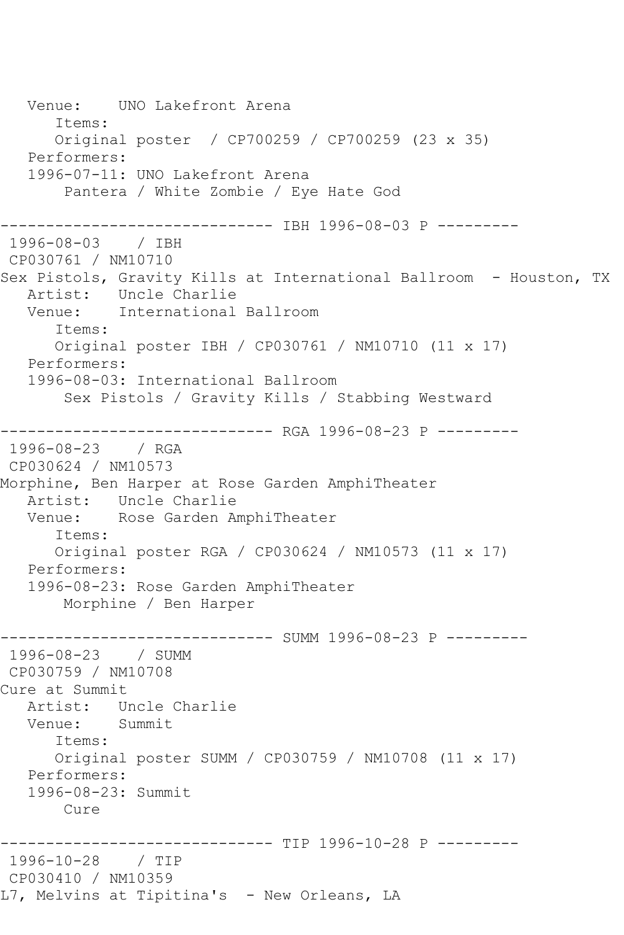Venue: UNO Lakefront Arena Items: Original poster / CP700259 / CP700259 (23 x 35) Performers: 1996-07-11: UNO Lakefront Arena Pantera / White Zombie / Eye Hate God ------------------------------ IBH 1996-08-03 P --------- 1996-08-03 / IBH CP030761 / NM10710 Sex Pistols, Gravity Kills at International Ballroom - Houston, TX Artist: Uncle Charlie<br>Venue: International International Ballroom Items: Original poster IBH / CP030761 / NM10710 (11 x 17) Performers: 1996-08-03: International Ballroom Sex Pistols / Gravity Kills / Stabbing Westward ------------------------------ RGA 1996-08-23 P --------- 1996-08-23 / RGA CP030624 / NM10573 Morphine, Ben Harper at Rose Garden AmphiTheater Artist: Uncle Charlie Venue: Rose Garden AmphiTheater Items: Original poster RGA / CP030624 / NM10573 (11 x 17) Performers: 1996-08-23: Rose Garden AmphiTheater Morphine / Ben Harper ------------------------------ SUMM 1996-08-23 P --------- 1996-08-23 / SUMM CP030759 / NM10708 Cure at Summit Artist: Uncle Charlie Venue: Summit Items: Original poster SUMM / CP030759 / NM10708 (11 x 17) Performers: 1996-08-23: Summit Cure ------------------------------ TIP 1996-10-28 P --------- 1996-10-28 / TIP CP030410 / NM10359 L7, Melvins at Tipitina's - New Orleans, LA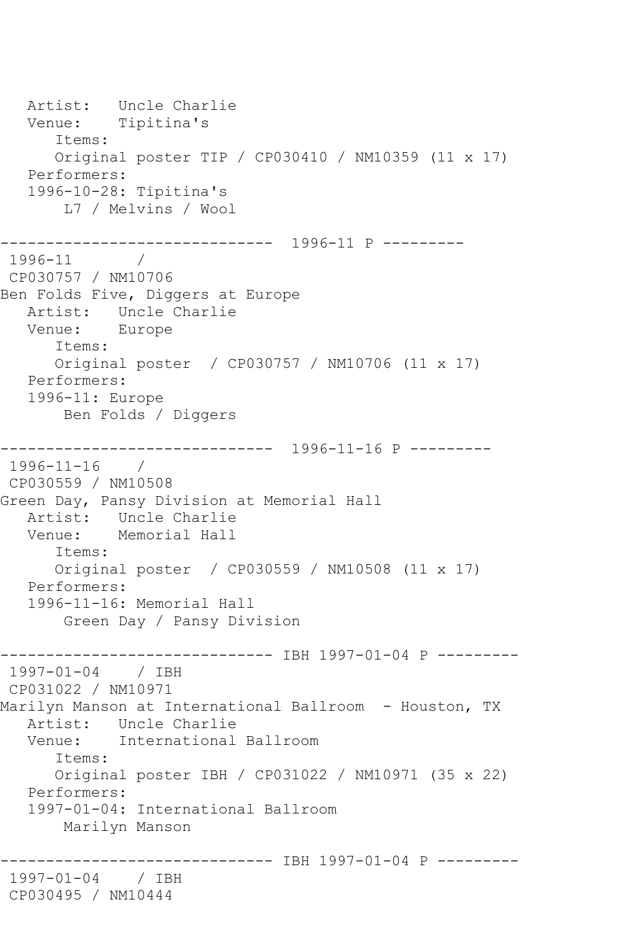Artist: Uncle Charlie Venue: Tipitina's Items: Original poster TIP / CP030410 / NM10359 (11 x 17) Performers: 1996-10-28: Tipitina's L7 / Melvins / Wool ------------------------------ 1996-11 P --------- 1996-11 / CP030757 / NM10706 Ben Folds Five, Diggers at Europe Artist: Uncle Charlie Venue: Europe Items: Original poster / CP030757 / NM10706 (11 x 17) Performers: 1996-11: Europe Ben Folds / Diggers ------------------------------ 1996-11-16 P --------- 1996-11-16 / CP030559 / NM10508 Green Day, Pansy Division at Memorial Hall Artist: Uncle Charlie<br>Venue: Memorial Hall Memorial Hall Items: Original poster / CP030559 / NM10508 (11 x 17) Performers: 1996-11-16: Memorial Hall Green Day / Pansy Division ------------------------------ IBH 1997-01-04 P --------- 1997-01-04 / IBH CP031022 / NM10971 Marilyn Manson at International Ballroom - Houston, TX Artist: Uncle Charlie Venue: International Ballroom Items: Original poster IBH / CP031022 / NM10971 (35 x 22) Performers: 1997-01-04: International Ballroom Marilyn Manson -------------- IBH 1997-01-04 P ---------1997-01-04 / IBH CP030495 / NM10444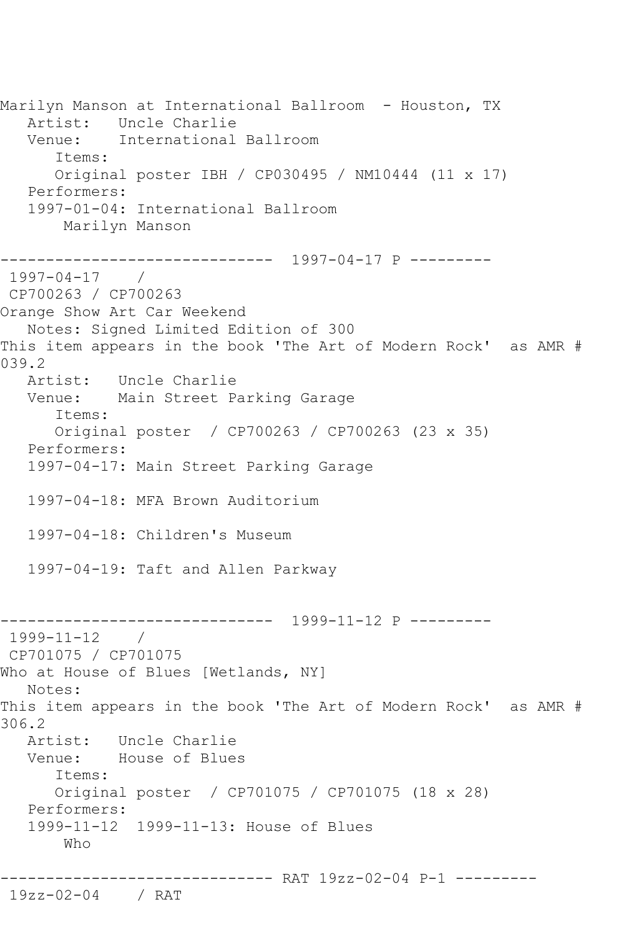Marilyn Manson at International Ballroom - Houston, TX Artist: Uncle Charlie Venue: International Ballroom Items: Original poster IBH / CP030495 / NM10444 (11 x 17) Performers: 1997-01-04: International Ballroom Marilyn Manson ------------------------------ 1997-04-17 P --------- 1997-04-17 / CP700263 / CP700263 Orange Show Art Car Weekend Notes: Signed Limited Edition of 300 This item appears in the book 'The Art of Modern Rock' as AMR # 039.2 Artist: Uncle Charlie Venue: Main Street Parking Garage Items: Original poster / CP700263 / CP700263 (23 x 35) Performers: 1997-04-17: Main Street Parking Garage 1997-04-18: MFA Brown Auditorium 1997-04-18: Children's Museum 1997-04-19: Taft and Allen Parkway ------------------------------ 1999-11-12 P --------- 1999-11-12 / CP701075 / CP701075 Who at House of Blues [Wetlands, NY] Notes: This item appears in the book 'The Art of Modern Rock' as AMR # 306.2 Artist: Uncle Charlie Venue: House of Blues Items: Original poster / CP701075 / CP701075 (18 x 28) Performers: 1999-11-12 1999-11-13: House of Blues Who ------------------------------ RAT 19zz-02-04 P-1 --------- 19zz-02-04 / RAT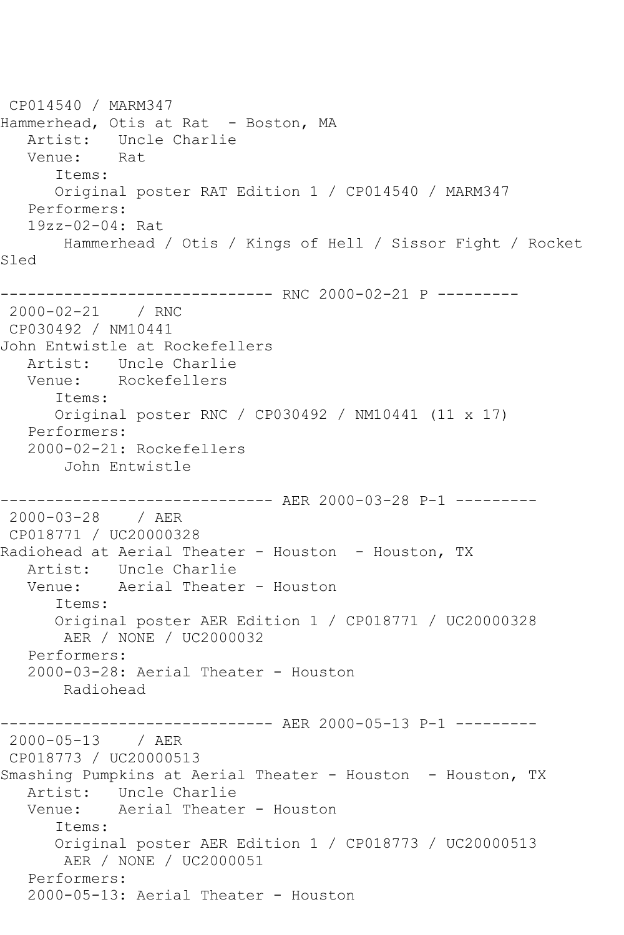CP014540 / MARM347 Hammerhead, Otis at Rat - Boston, MA Artist: Uncle Charlie Venue: Rat Items: Original poster RAT Edition 1 / CP014540 / MARM347 Performers: 19zz-02-04: Rat Hammerhead / Otis / Kings of Hell / Sissor Fight / Rocket Sled ------------------------------ RNC 2000-02-21 P --------- 2000-02-21 / RNC CP030492 / NM10441 John Entwistle at Rockefellers Artist: Uncle Charlie Venue: Rockefellers Items: Original poster RNC / CP030492 / NM10441 (11 x 17) Performers: 2000-02-21: Rockefellers John Entwistle ------------------------------ AER 2000-03-28 P-1 --------- 2000-03-28 / AER CP018771 / UC20000328 Radiohead at Aerial Theater - Houston - Houston, TX Artist: Uncle Charlie Venue: Aerial Theater - Houston Items: Original poster AER Edition 1 / CP018771 / UC20000328 AER / NONE / UC2000032 Performers: 2000-03-28: Aerial Theater - Houston Radiohead ------------------------------ AER 2000-05-13 P-1 --------- 2000-05-13 / AER CP018773 / UC20000513 Smashing Pumpkins at Aerial Theater - Houston - Houston, TX Artist: Uncle Charlie Venue: Aerial Theater - Houston Items: Original poster AER Edition 1 / CP018773 / UC20000513 AER / NONE / UC2000051 Performers: 2000-05-13: Aerial Theater - Houston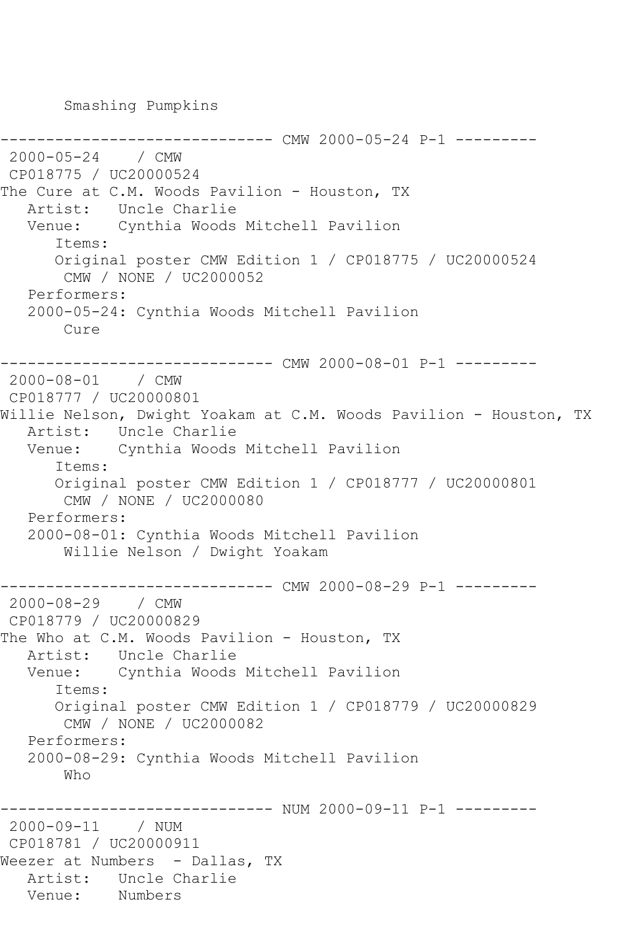Smashing Pumpkins

```
----------- CMW 2000-05-24 P-1 ---------
2000-05-24 / CMW 
CP018775 / UC20000524
The Cure at C.M. Woods Pavilion - Houston, TX
   Artist: Uncle Charlie
   Venue: Cynthia Woods Mitchell Pavilion
       Items:
       Original poster CMW Edition 1 / CP018775 / UC20000524
        CMW / NONE / UC2000052
    Performers:
    2000-05-24: Cynthia Woods Mitchell Pavilion
        Cure
------------------------------ CMW 2000-08-01 P-1 ---------
2000-08-01 / CMW 
CP018777 / UC20000801
Willie Nelson, Dwight Yoakam at C.M. Woods Pavilion - Houston, TX
   Artist: Uncle Charlie
   Venue: Cynthia Woods Mitchell Pavilion
       Items:
       Original poster CMW Edition 1 / CP018777 / UC20000801
        CMW / NONE / UC2000080
   Performers:
    2000-08-01: Cynthia Woods Mitchell Pavilion
        Willie Nelson / Dwight Yoakam
------------------------------ CMW 2000-08-29 P-1 ---------
2000-08-29 / CMW 
CP018779 / UC20000829
The Who at C.M. Woods Pavilion - Houston, TX
  Artist: Uncle Charlie<br>Venue: Cynthia Woods
            Cynthia Woods Mitchell Pavilion
       Items:
       Original poster CMW Edition 1 / CP018779 / UC20000829
        CMW / NONE / UC2000082
    Performers:
    2000-08-29: Cynthia Woods Mitchell Pavilion
        Who
------------------------------ NUM 2000-09-11 P-1 ---------
2000-09-11 / NUM 
CP018781 / UC20000911
Weezer at Numbers - Dallas, TX
  Artist: Uncle Charlie<br>Venue: Numbers
            Numbers
```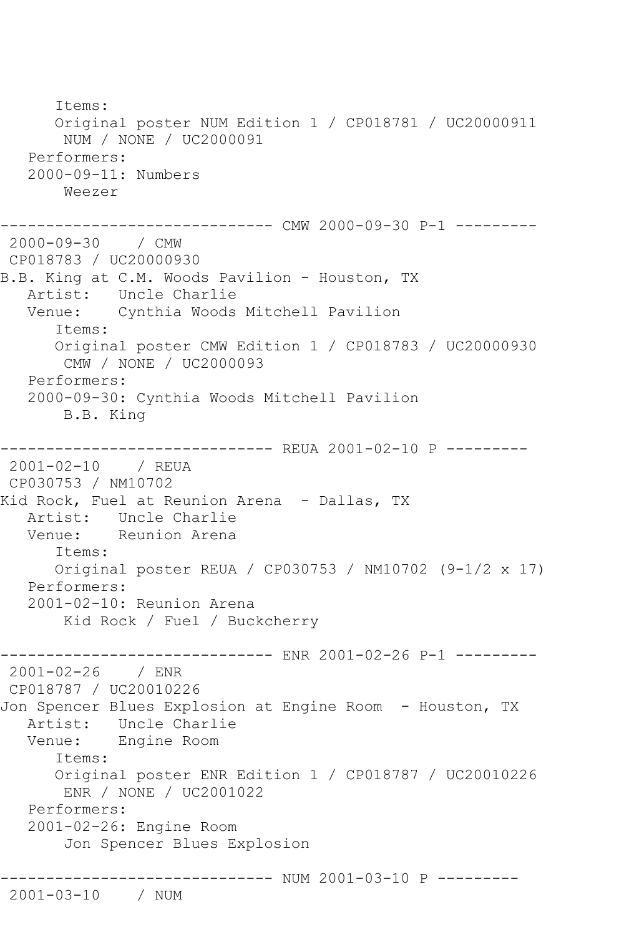Items: Original poster NUM Edition 1 / CP018781 / UC20000911 NUM / NONE / UC2000091 Performers: 2000-09-11: Numbers Weezer ------------------------------ CMW 2000-09-30 P-1 --------- 2000-09-30 / CMW CP018783 / UC20000930 B.B. King at C.M. Woods Pavilion - Houston, TX Artist: Uncle Charlie Venue: Cynthia Woods Mitchell Pavilion Items: Original poster CMW Edition 1 / CP018783 / UC20000930 CMW / NONE / UC2000093 Performers: 2000-09-30: Cynthia Woods Mitchell Pavilion B.B. King ------------------------------ REUA 2001-02-10 P --------- 2001-02-10 / REUA CP030753 / NM10702 Kid Rock, Fuel at Reunion Arena - Dallas, TX Artist: Uncle Charlie<br>Venue: Reunion Arena Reunion Arena Items: Original poster REUA / CP030753 / NM10702 (9-1/2 x 17) Performers: 2001-02-10: Reunion Arena Kid Rock / Fuel / Buckcherry ------------------------------ ENR 2001-02-26 P-1 --------- 2001-02-26 / ENR CP018787 / UC20010226 Jon Spencer Blues Explosion at Engine Room - Houston, TX Artist: Uncle Charlie Venue: Engine Room Items: Original poster ENR Edition 1 / CP018787 / UC20010226 ENR / NONE / UC2001022 Performers: 2001-02-26: Engine Room Jon Spencer Blues Explosion ------------------------------ NUM 2001-03-10 P --------- 2001-03-10 / NUM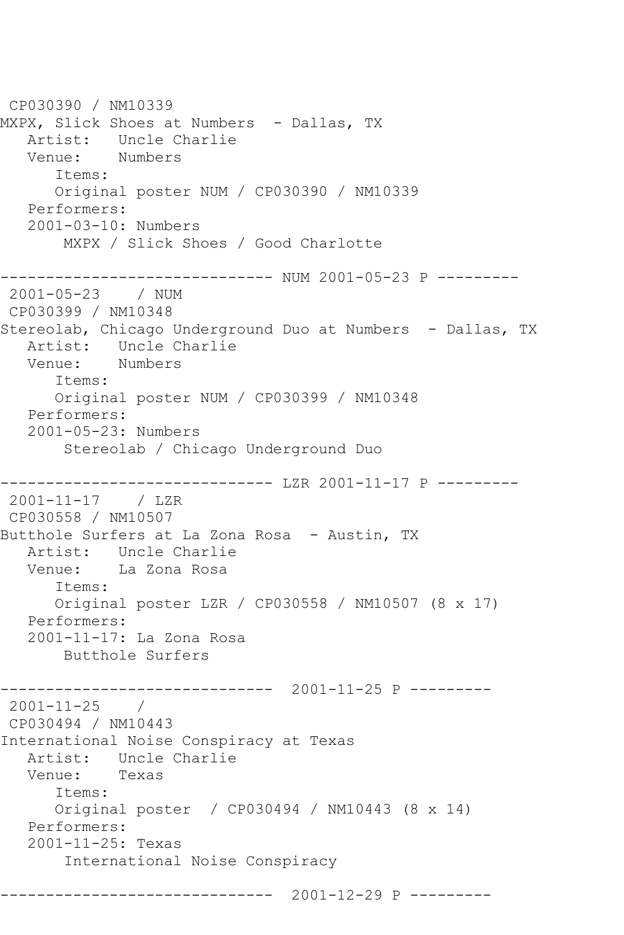CP030390 / NM10339 MXPX, Slick Shoes at Numbers - Dallas, TX Artist: Uncle Charlie<br>Venue: Numbers Venue: Items: Original poster NUM / CP030390 / NM10339 Performers: 2001-03-10: Numbers MXPX / Slick Shoes / Good Charlotte ----------------------------- NUM 2001-05-23 P ---------2001-05-23 / NUM CP030399 / NM10348 Stereolab, Chicago Underground Duo at Numbers - Dallas, TX Artist: Uncle Charlie<br>Venue: Numbers Venue: Items: Original poster NUM / CP030399 / NM10348 Performers: 2001-05-23: Numbers Stereolab / Chicago Underground Duo ------------------------------ LZR 2001-11-17 P --------- 2001-11-17 / LZR CP030558 / NM10507 Butthole Surfers at La Zona Rosa - Austin, TX Artist: Uncle Charlie Venue: La Zona Rosa Items: Original poster LZR / CP030558 / NM10507 (8 x 17) Performers: 2001-11-17: La Zona Rosa Butthole Surfers ------------------------------ 2001-11-25 P --------- 2001-11-25 / CP030494 / NM10443 International Noise Conspiracy at Texas Artist: Uncle Charlie<br>Venue: Texas Venue: Items: Original poster / CP030494 / NM10443 (8 x 14) Performers: 2001-11-25: Texas International Noise Conspiracy ------------------------------ 2001-12-29 P ---------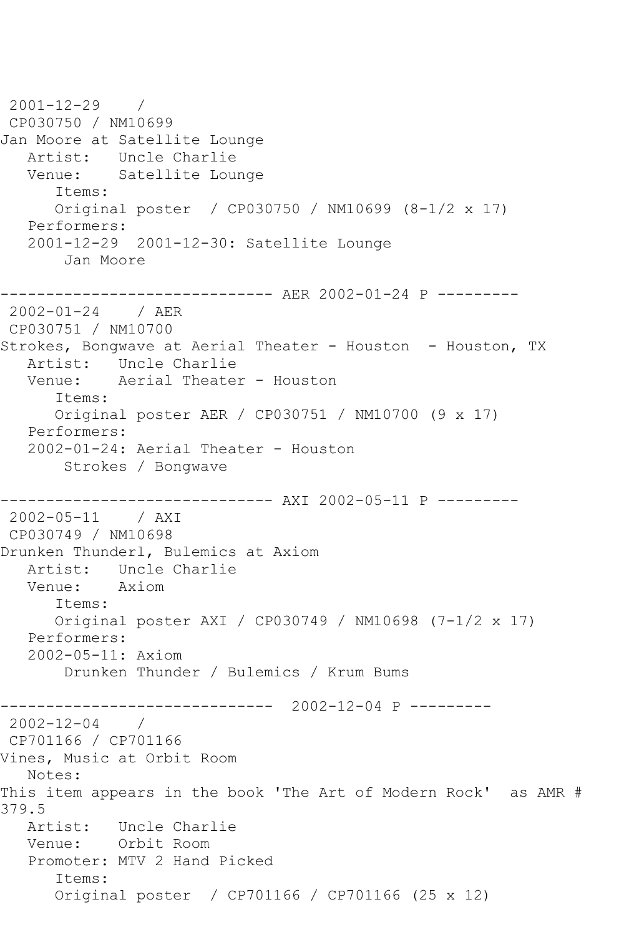2001-12-29 / CP030750 / NM10699 Jan Moore at Satellite Lounge Artist: Uncle Charlie<br>Venue: Satellite Lou Satellite Lounge Items: Original poster / CP030750 / NM10699 (8-1/2 x 17) Performers: 2001-12-29 2001-12-30: Satellite Lounge Jan Moore ------------------------------ AER 2002-01-24 P --------- 2002-01-24 / AER CP030751 / NM10700 Strokes, Bongwave at Aerial Theater - Houston - Houston, TX Artist: Uncle Charlie Venue: Aerial Theater - Houston Items: Original poster AER / CP030751 / NM10700 (9 x 17) Performers: 2002-01-24: Aerial Theater - Houston Strokes / Bongwave ------------------------------ AXI 2002-05-11 P --------- 2002-05-11 / AXI CP030749 / NM10698 Drunken Thunderl, Bulemics at Axiom Artist: Uncle Charlie<br>Venue: Axiom Venue: Items: Original poster AXI / CP030749 / NM10698 (7-1/2 x 17) Performers: 2002-05-11: Axiom Drunken Thunder / Bulemics / Krum Bums ------------------------------ 2002-12-04 P --------- 2002-12-04 / CP701166 / CP701166 Vines, Music at Orbit Room Notes: This item appears in the book 'The Art of Modern Rock' as AMR # 379.5 Artist: Uncle Charlie Venue: Orbit Room Promoter: MTV 2 Hand Picked Items: Original poster / CP701166 / CP701166 (25 x 12)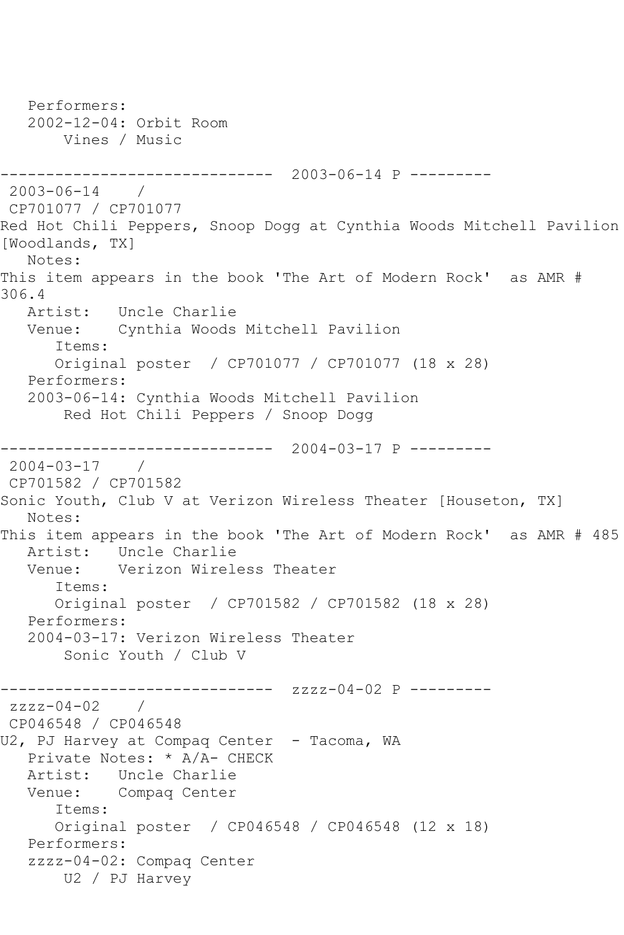```
 Performers:
   2002-12-04: Orbit Room
       Vines / Music
------------------------------ 2003-06-14 P ---------
2003-06-14 / 
CP701077 / CP701077
Red Hot Chili Peppers, Snoop Dogg at Cynthia Woods Mitchell Pavilion 
[Woodlands, TX]
   Notes: 
This item appears in the book 'The Art of Modern Rock' as AMR # 
306.4
   Artist: Uncle Charlie
   Venue: Cynthia Woods Mitchell Pavilion
      Items:
      Original poster / CP701077 / CP701077 (18 x 28)
   Performers:
   2003-06-14: Cynthia Woods Mitchell Pavilion
       Red Hot Chili Peppers / Snoop Dogg
------------------------------ 2004-03-17 P ---------
2004-03-17 / 
CP701582 / CP701582
Sonic Youth, Club V at Verizon Wireless Theater [Houseton, TX]
   Notes: 
This item appears in the book 'The Art of Modern Rock' as AMR # 485
   Artist: Uncle Charlie
   Venue: Verizon Wireless Theater
      Items:
      Original poster / CP701582 / CP701582 (18 x 28)
   Performers:
   2004-03-17: Verizon Wireless Theater
        Sonic Youth / Club V
                  ------------ zzzz-04-02 P ---------
zzzz-04-02 / 
CP046548 / CP046548
U2, PJ Harvey at Compaq Center - Tacoma, WA
   Private Notes: * A/A- CHECK
   Artist: Uncle Charlie
   Venue: Compaq Center
      Items:
      Original poster / CP046548 / CP046548 (12 x 18)
   Performers:
   zzzz-04-02: Compaq Center
       U2 / PJ Harvey
```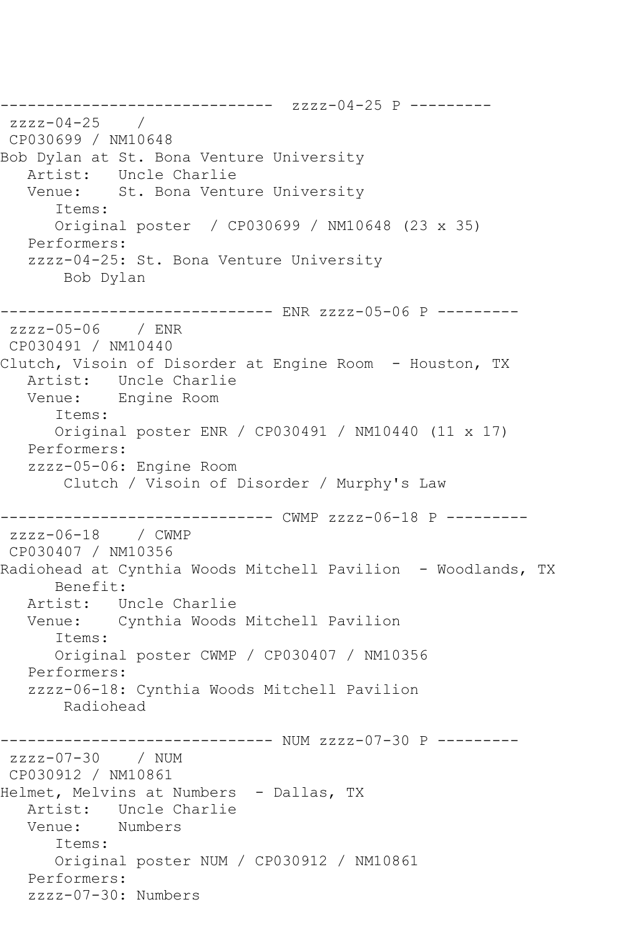------------------------------ zzzz-04-25 P -------- zzzz-04-25 / CP030699 / NM10648 Bob Dylan at St. Bona Venture University Artist: Uncle Charlie Venue: St. Bona Venture University Items: Original poster / CP030699 / NM10648 (23 x 35) Performers: zzzz-04-25: St. Bona Venture University Bob Dylan ------------------------------ ENR zzzz-05-06 P -------- zzzz-05-06 / ENR CP030491 / NM10440 Clutch, Visoin of Disorder at Engine Room - Houston, TX Artist: Uncle Charlie Venue: Engine Room Items: Original poster ENR / CP030491 / NM10440 (11 x 17) Performers: zzzz-05-06: Engine Room Clutch / Visoin of Disorder / Murphy's Law ------------------------------ CWMP zzzz-06-18 P -------- zzzz-06-18 / CWMP CP030407 / NM10356 Radiohead at Cynthia Woods Mitchell Pavilion - Woodlands, TX Benefit: Artist: Uncle Charlie Venue: Cynthia Woods Mitchell Pavilion Items: Original poster CWMP / CP030407 / NM10356 Performers: zzzz-06-18: Cynthia Woods Mitchell Pavilion Radiohead ------------------------------ NUM zzzz-07-30 P -------- zzzz-07-30 / NUM CP030912 / NM10861 Helmet, Melvins at Numbers - Dallas, TX Artist: Uncle Charlie Venue: Numbers Items: Original poster NUM / CP030912 / NM10861 Performers: zzzz-07-30: Numbers